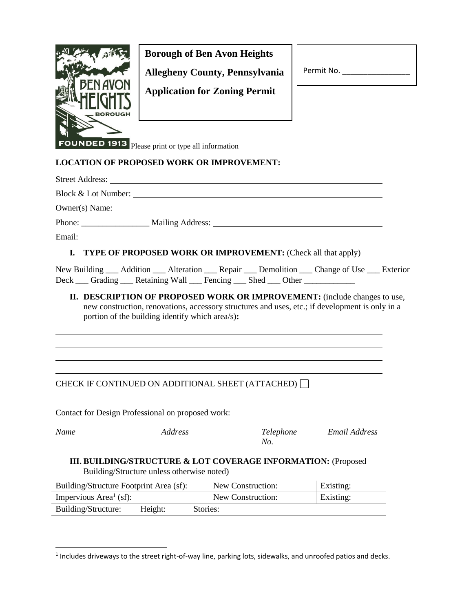

# **Borough of Ben Avon Heights**

**Allegheny County, Pennsylvania**

**Application for Zoning Permit**

| Permit No. |  |  |  |
|------------|--|--|--|
|            |  |  |  |

**FOUNDED 1913** Please print or type all information

#### **LOCATION OF PROPOSED WORK OR IMPROVEMENT:**

| <b>I. TYPE OF PROPOSED WORK OR IMPROVEMENT:</b> (Check all that apply) |
|------------------------------------------------------------------------|
|                                                                        |

New Building \_\_\_ Addition \_\_\_ Alteration \_\_\_ Repair \_\_\_ Demolition \_\_\_ Change of Use \_\_\_ Exterior Deck \_\_\_ Grading \_\_\_ Retaining Wall \_\_\_ Fencing \_\_\_ Shed \_\_\_ Other \_\_\_\_\_\_\_\_\_\_\_\_\_

**II. DESCRIPTION OF PROPOSED WORK OR IMPROVEMENT:** (include changes to use, new construction, renovations, accessory structures and uses, etc.; if development is only in a portion of the building identify which area/s)**:**

## CHECK IF CONTINUED ON ADDITIONAL SHEET (ATTACHED)

Contact for Design Professional on proposed work:

| Name                                                                                                        | <i>Address</i> | Telephone<br>No.  | Email Address |  |  |  |  |
|-------------------------------------------------------------------------------------------------------------|----------------|-------------------|---------------|--|--|--|--|
| III. BUILDING/STRUCTURE & LOT COVERAGE INFORMATION: (Proposed<br>Building/Structure unless otherwise noted) |                |                   |               |  |  |  |  |
| Building/Structure Footprint Area (sf):                                                                     |                | New Construction: | Existing:     |  |  |  |  |
| Impervious Area <sup>1</sup> (sf):                                                                          |                | New Construction: | Existing:     |  |  |  |  |
| Height:<br>Building/Structure:                                                                              | Stories:       |                   |               |  |  |  |  |

 $<sup>1</sup>$  Includes driveways to the street right-of-way line, parking lots, sidewalks, and unroofed patios and decks.</sup>